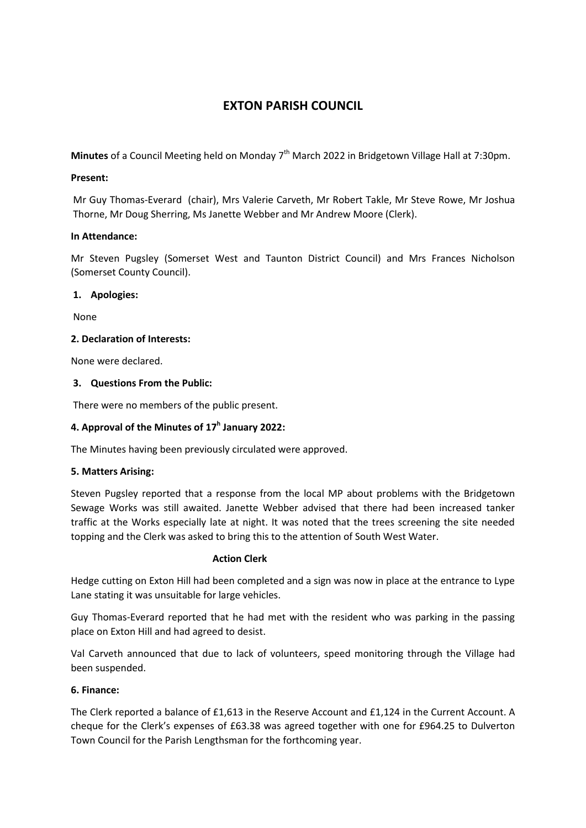# **EXTON PARISH COUNCIL**

Minutes of a Council Meeting held on Monday 7<sup>th</sup> March 2022 in Bridgetown Village Hall at 7:30pm.

#### **Present:**

Mr Guy Thomas-Everard (chair), Mrs Valerie Carveth, Mr Robert Takle, Mr Steve Rowe, Mr Joshua Thorne, Mr Doug Sherring, Ms Janette Webber and Mr Andrew Moore (Clerk).

## **In Attendance:**

Mr Steven Pugsley (Somerset West and Taunton District Council) and Mrs Frances Nicholson (Somerset County Council).

## **1. Apologies:**

None

## **2. Declaration of Interests:**

None were declared.

## **3. Questions From the Public:**

There were no members of the public present.

## **4. Approval of the Minutes of 17<sup>h</sup> January 2022:**

The Minutes having been previously circulated were approved.

#### **5. Matters Arising:**

Steven Pugsley reported that a response from the local MP about problems with the Bridgetown Sewage Works was still awaited. Janette Webber advised that there had been increased tanker traffic at the Works especially late at night. It was noted that the trees screening the site needed topping and the Clerk was asked to bring this to the attention of South West Water.

#### **Action Clerk**

Hedge cutting on Exton Hill had been completed and a sign was now in place at the entrance to Lype Lane stating it was unsuitable for large vehicles.

Guy Thomas-Everard reported that he had met with the resident who was parking in the passing place on Exton Hill and had agreed to desist.

Val Carveth announced that due to lack of volunteers, speed monitoring through the Village had been suspended.

#### **6. Finance:**

The Clerk reported a balance of £1,613 in the Reserve Account and £1,124 in the Current Account. A cheque for the Clerk's expenses of £63.38 was agreed together with one for £964.25 to Dulverton Town Council for the Parish Lengthsman for the forthcoming year.